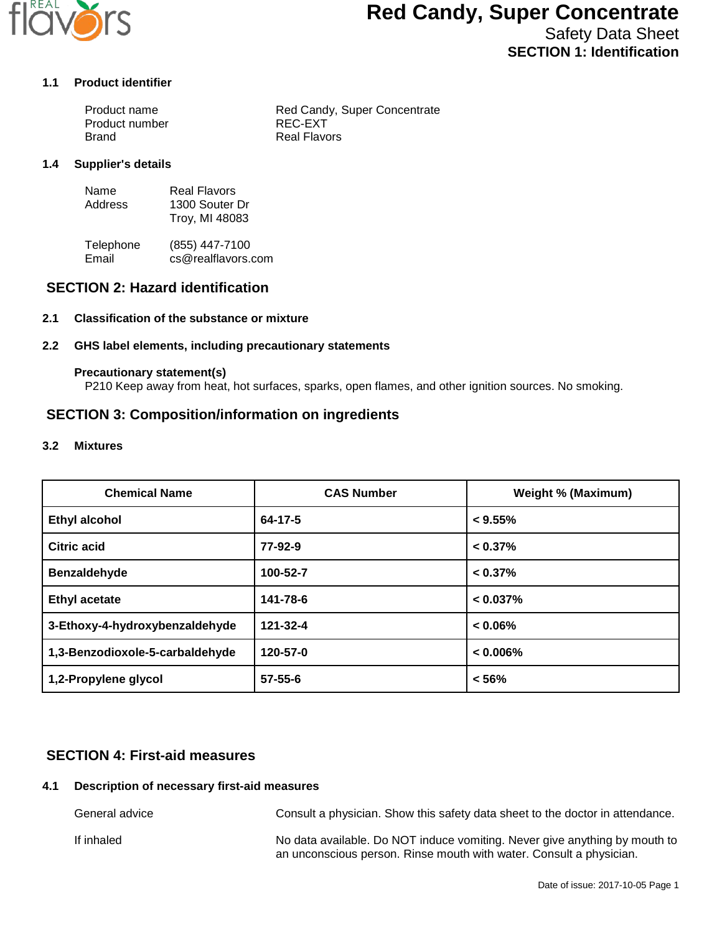

# **Red Candy, Super Concentrate**

Safety Data Sheet **SECTION 1: Identification**

#### **1.1 Product identifier**

| Product name   | Red Candy, Super Concentrate |
|----------------|------------------------------|
| Product number | REC-EXT                      |
| Brand          | Real Flavors                 |

#### **1.4 Supplier's details**

| Name    | <b>Real Flavors</b> |
|---------|---------------------|
| Address | 1300 Souter Dr      |
|         | Troy, MI 48083      |

Telephone (855) 447-7100<br>Email cs@realflavors. cs@realflavors.com

## **SECTION 2: Hazard identification**

## **2.1 Classification of the substance or mixture**

### **2.2 GHS label elements, including precautionary statements**

#### **Precautionary statement(s)**

P210 Keep away from heat, hot surfaces, sparks, open flames, and other ignition sources. No smoking.

## **SECTION 3: Composition/information on ingredients**

#### **3.2 Mixtures**

| <b>Chemical Name</b>            | <b>CAS Number</b> | <b>Weight % (Maximum)</b> |
|---------------------------------|-------------------|---------------------------|
| <b>Ethyl alcohol</b>            | 64-17-5           | $< 9.55\%$                |
| Citric acid                     | 77-92-9           | $< 0.37\%$                |
| Benzaldehyde                    | 100-52-7          | $< 0.37\%$                |
| <b>Ethyl acetate</b>            | 141-78-6          | $< 0.037\%$               |
| 3-Ethoxy-4-hydroxybenzaldehyde  | 121-32-4          | $< 0.06\%$                |
| 1,3-Benzodioxole-5-carbaldehyde | 120-57-0          | $< 0.006\%$               |
| 1,2-Propylene glycol            | $57 - 55 - 6$     | < 56%                     |

## **SECTION 4: First-aid measures**

### **4.1 Description of necessary first-aid measures**

General advice Consult a physician. Show this safety data sheet to the doctor in attendance. If inhaled **No data available.** Do NOT induce vomiting. Never give anything by mouth to an unconscious person. Rinse mouth with water. Consult a physician.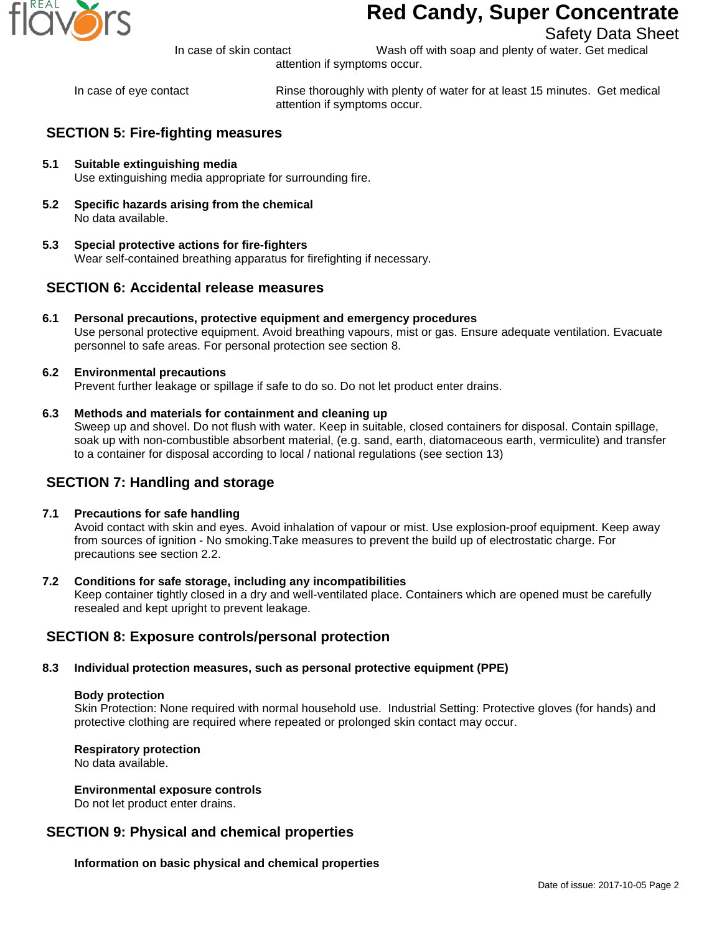

# **Red Candy, Super Concentrate**

Safety Data Sheet

In case of skin contact Wash off with soap and plenty of water. Get medical

attention if symptoms occur.

In case of eye contact Rinse thoroughly with plenty of water for at least 15 minutes. Get medical attention if symptoms occur.

# **SECTION 5: Fire-fighting measures**

- **5.1 Suitable extinguishing media** Use extinguishing media appropriate for surrounding fire.
- **5.2 Specific hazards arising from the chemical** No data available.
- **5.3 Special protective actions for fire-fighters** Wear self-contained breathing apparatus for firefighting if necessary.

## **SECTION 6: Accidental release measures**

- **6.1 Personal precautions, protective equipment and emergency procedures** Use personal protective equipment. Avoid breathing vapours, mist or gas. Ensure adequate ventilation. Evacuate personnel to safe areas. For personal protection see section 8.
- **6.2 Environmental precautions** Prevent further leakage or spillage if safe to do so. Do not let product enter drains.

## **6.3 Methods and materials for containment and cleaning up**

Sweep up and shovel. Do not flush with water. Keep in suitable, closed containers for disposal. Contain spillage, soak up with non-combustible absorbent material, (e.g. sand, earth, diatomaceous earth, vermiculite) and transfer to a container for disposal according to local / national regulations (see section 13)

## **SECTION 7: Handling and storage**

### **7.1 Precautions for safe handling**

Avoid contact with skin and eyes. Avoid inhalation of vapour or mist. Use explosion-proof equipment. Keep away from sources of ignition - No smoking.Take measures to prevent the build up of electrostatic charge. For precautions see section 2.2.

### **7.2 Conditions for safe storage, including any incompatibilities**

Keep container tightly closed in a dry and well-ventilated place. Containers which are opened must be carefully resealed and kept upright to prevent leakage.

## **SECTION 8: Exposure controls/personal protection**

### **8.3 Individual protection measures, such as personal protective equipment (PPE)**

### **Body protection**

Skin Protection: None required with normal household use. Industrial Setting: Protective gloves (for hands) and protective clothing are required where repeated or prolonged skin contact may occur.

### **Respiratory protection**

No data available.

### **Environmental exposure controls**

Do not let product enter drains.

## **SECTION 9: Physical and chemical properties**

**Information on basic physical and chemical properties**